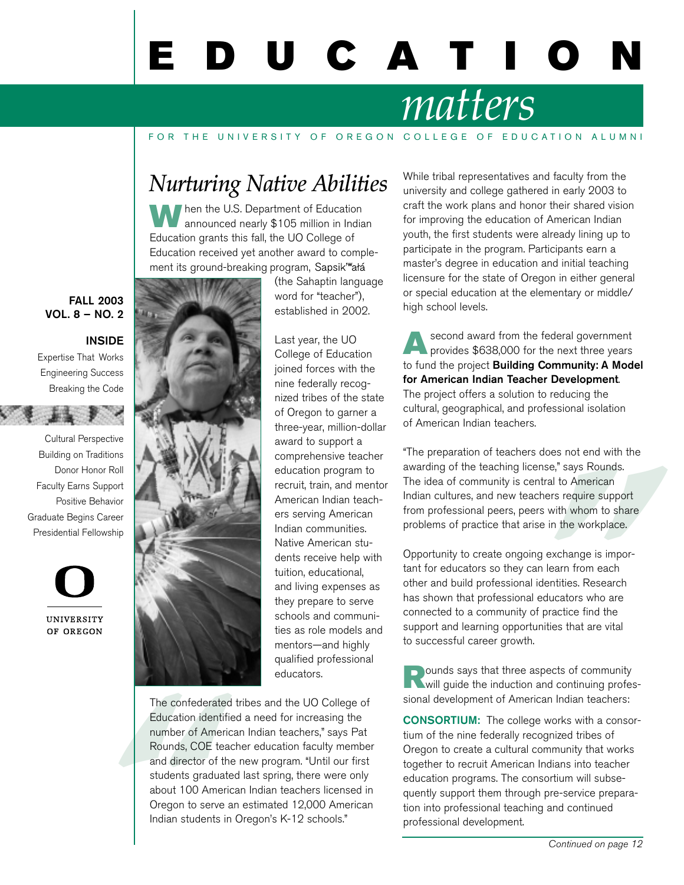# E D U C A T I

## *matters*

#### FOR THE UNIVERSITY OF OREGON COLLEGE OF EDUCATION ALUMNI

### *Nurturing Native Abilities*

When the U.S. Department of Education announced nearly \$105 million in Indian Education grants this fall, the UO College of Education received yet another award to complement its ground-breaking program, Sapsik Wałá

FALL 2003 VOL. 8 – NO. 2

#### INSIDE

Expertise That Works Engineering Success Breaking the Code

Cultural Perspective Building on Traditions Donor Honor Roll Faculty Earns Support Positive Behavior Graduate Begins Career



(the Sahaptin language word for "teacher"), established in 2002.

Last year, the UO College of Education joined forces with the nine federally recognized tribes of the state of Oregon to garner a three-year, million-dollar award to support a comprehensive teacher education program to recruit, train, and mentor American Indian teachers serving American Indian communities. Native American students receive help with tuition, educational, and living expenses as they prepare to serve schools and communities as role models and mentors—and highly qualified professional educators.

The confederate<br>Education identi<sup>t</sup><br>number of Amer<br>Rounds, COE te:<br>and director of tl<br>students gradua<br>about 100 Amer<br>Oregon to serve<br>Indian students i The confederated tribes and the UO College of Education identified a need for increasing the number of American Indian teachers," says Pat Rounds, COE teacher education faculty member and director of the new program. "Until our first students graduated last spring, there were only about 100 American Indian teachers licensed in Oregon to serve an estimated 12,000 American Indian students in Oregon's K-12 schools."

While tribal representatives and faculty from the university and college gathered in early 2003 to craft the work plans and honor their shared vision for improving the education of American Indian youth, the first students were already lining up to participate in the program. Participants earn a master's degree in education and initial teaching licensure for the state of Oregon in either general or special education at the elementary or middle/ high school levels.

Second award from the federal government<br>provides \$638,000 for the next three years to fund the project Building Community: A Model for American Indian Teacher Development. The project offers a solution to reducing the cultural, geographical, and professional isolation of American Indian teachers.

"The preparation of teachers does not end with the awarding of the teaching license," says Rounds. The idea of community is central to American Indian cultures, and new teachers require support from professional peers, peers with whom to share problems of practice that arise in the workplace.

Opportunity to create ongoing exchange is important for educators so they can learn from each other and build professional identities. Research has shown that professional educators who are connected to a community of practice find the support and learning opportunities that are vital to successful career growth.

**Rounds says that three aspects of community**<br>will guide the induction and continuing professional development of American Indian teachers:

CONSORTIUM: The college works with a consortium of the nine federally recognized tribes of Oregon to create a cultural community that works together to recruit American Indians into teacher education programs. The consortium will subsequently support them through pre-service preparation into professional teaching and continued professional development.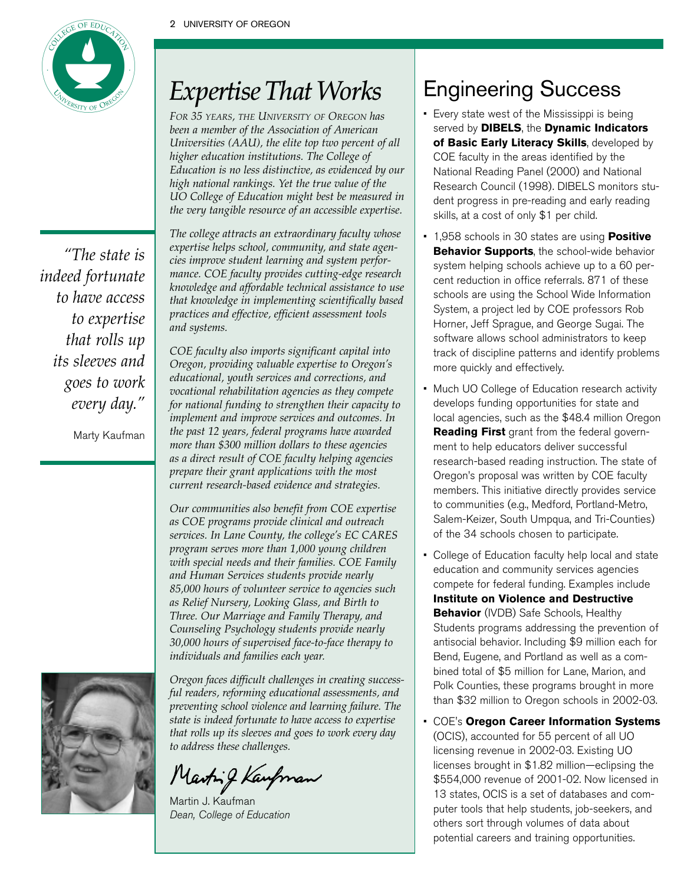

*"The state is indeed fortunate to have access to expertise that rolls up its sleeves and goes to work every day."*

Marty Kaufman



*FOR 35 YEARS, THE UNIVERSITY OF OREGON has been a member of the Association of American Universities (AAU), the elite top two percent of all higher education institutions. The College of Education is no less distinctive, as evidenced by our high national rankings. Yet the true value of the UO College of Education might best be measured in the very tangible resource of an accessible expertise.*

*The college attracts an extraordinary faculty whose expertise helps school, community, and state agencies improve student learning and system performance. COE faculty provides cutting-edge research knowledge and affordable technical assistance to use that knowledge in implementing scientifically based practices and effective, efficient assessment tools and systems.* 

*COE faculty also imports significant capital into Oregon, providing valuable expertise to Oregon's educational, youth services and corrections, and vocational rehabilitation agencies as they compete for national funding to strengthen their capacity to implement and improve services and outcomes. In the past 12 years, federal programs have awarded more than \$300 million dollars to these agencies as a direct result of COE faculty helping agencies prepare their grant applications with the most current research-based evidence and strategies.* 

*Our communities also benefit from COE expertise as COE programs provide clinical and outreach services. In Lane County, the college's EC CARES program serves more than 1,000 young children with special needs and their families. COE Family and Human Services students provide nearly 85,000 hours of volunteer service to agencies such as Relief Nursery, Looking Glass, and Birth to Three. Our Marriage and Family Therapy, and Counseling Psychology students provide nearly 30,000 hours of supervised face-to-face therapy to individuals and families each year.* 



*Oregon faces difficult challenges in creating successful readers, reforming educational assessments, and preventing school violence and learning failure. The state is indeed fortunate to have access to expertise that rolls up its sleeves and goes to work every day to address these challenges.*

Marting Kaupman

Martin J. Kaufman Dean, College of Education

### Engineering Success

- Every state west of the Mississippi is being served by **DIBELS**, the **Dynamic Indicators of Basic Early Literacy Skills**, developed by COE faculty in the areas identified by the National Reading Panel (2000) and National Research Council (1998). DIBELS monitors student progress in pre-reading and early reading skills, at a cost of only \$1 per child.
- 1,958 schools in 30 states are using **Positive Behavior Supports**, the school-wide behavior system helping schools achieve up to a 60 percent reduction in office referrals. 871 of these schools are using the School Wide Information System, a project led by COE professors Rob Horner, Jeff Sprague, and George Sugai. The software allows school administrators to keep track of discipline patterns and identify problems more quickly and effectively.
- Much UO College of Education research activity develops funding opportunities for state and local agencies, such as the \$48.4 million Oregon **Reading First** grant from the federal government to help educators deliver successful research-based reading instruction. The state of Oregon's proposal was written by COE faculty members. This initiative directly provides service to communities (e.g., Medford, Portland-Metro, Salem-Keizer, South Umpqua, and Tri-Counties) of the 34 schools chosen to participate.
- College of Education faculty help local and state education and community services agencies compete for federal funding. Examples include **Institute on Violence and Destructive Behavior** (IVDB) Safe Schools, Healthy Students programs addressing the prevention of antisocial behavior. Including \$9 million each for Bend, Eugene, and Portland as well as a combined total of \$5 million for Lane, Marion, and Polk Counties, these programs brought in more than \$32 million to Oregon schools in 2002-03.
- COE's **Oregon Career Information Systems** (OCIS), accounted for 55 percent of all UO licensing revenue in 2002-03. Existing UO licenses brought in \$1.82 million—eclipsing the \$554,000 revenue of 2001-02. Now licensed in 13 states, OCIS is a set of databases and computer tools that help students, job-seekers, and others sort through volumes of data about potential careers and training opportunities.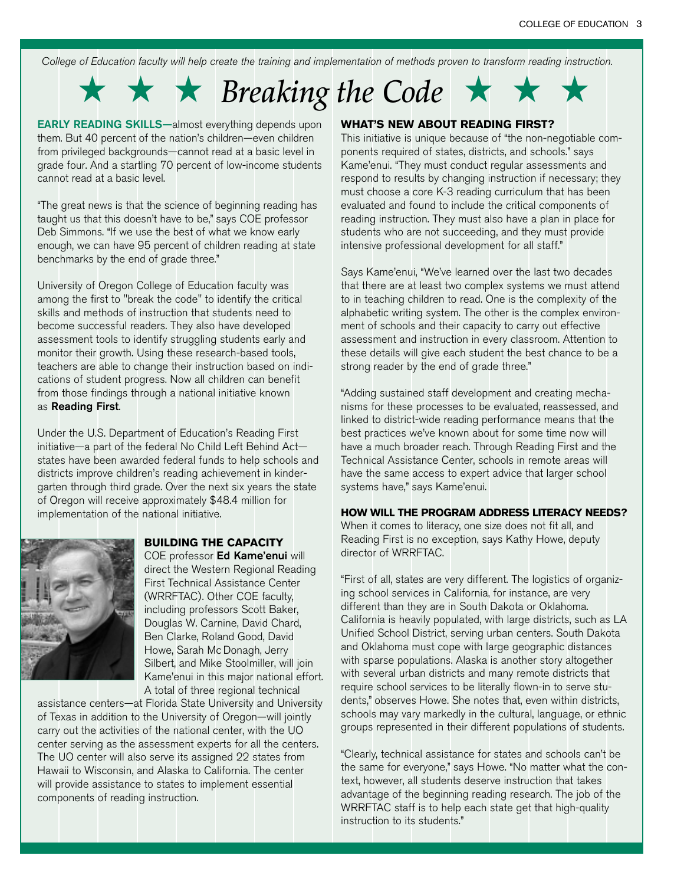College of Education faculty will help create the training and implementation of methods proven to transform reading instruction.

### ★ ★ ★ *Breaking the Code* ★ ★ ★

EARLY READING SKILLS—almost everything depends upon them. But 40 percent of the nation's children—even children from privileged backgrounds—cannot read at a basic level in grade four. And a startling 70 percent of low-income students cannot read at a basic level.

"The great news is that the science of beginning reading has taught us that this doesn't have to be," says COE professor Deb Simmons. "If we use the best of what we know early enough, we can have 95 percent of children reading at state benchmarks by the end of grade three."

University of Oregon College of Education faculty was among the first to "break the code" to identify the critical skills and methods of instruction that students need to become successful readers. They also have developed assessment tools to identify struggling students early and monitor their growth. Using these research-based tools, teachers are able to change their instruction based on indications of student progress. Now all children can benefit from those findings through a national initiative known as Reading First.

Under the U.S. Department of Education's Reading First initiative—a part of the federal No Child Left Behind Act states have been awarded federal funds to help schools and districts improve children's reading achievement in kindergarten through third grade. Over the next six years the state of Oregon will receive approximately \$48.4 million for implementation of the national initiative.



#### **BUILDING THE CAPACITY**

COE professor Ed Kame'enui will direct the Western Regional Reading First Technical Assistance Center (WRRFTAC). Other COE faculty, including professors Scott Baker, Douglas W. Carnine, David Chard, Ben Clarke, Roland Good, David Howe, Sarah Mc Donagh, Jerry Silbert, and Mike Stoolmiller, will join Kame'enui in this major national effort. A total of three regional technical

assistance centers—at Florida State University and University of Texas in addition to the University of Oregon—will jointly carry out the activities of the national center, with the UO center serving as the assessment experts for all the centers. The UO center will also serve its assigned 22 states from Hawaii to Wisconsin, and Alaska to California. The center will provide assistance to states to implement essential components of reading instruction.

#### **WHAT'S NEW ABOUT READING FIRST?**

This initiative is unique because of "the non-negotiable components required of states, districts, and schools." says Kame'enui. "They must conduct regular assessments and respond to results by changing instruction if necessary; they must choose a core K-3 reading curriculum that has been evaluated and found to include the critical components of reading instruction. They must also have a plan in place for students who are not succeeding, and they must provide intensive professional development for all staff."

Says Kame'enui, "We've learned over the last two decades that there are at least two complex systems we must attend to in teaching children to read. One is the complexity of the alphabetic writing system. The other is the complex environment of schools and their capacity to carry out effective assessment and instruction in every classroom. Attention to these details will give each student the best chance to be a strong reader by the end of grade three."

"Adding sustained staff development and creating mechanisms for these processes to be evaluated, reassessed, and linked to district-wide reading performance means that the best practices we've known about for some time now will have a much broader reach. Through Reading First and the Technical Assistance Center, schools in remote areas will have the same access to expert advice that larger school systems have," says Kame'enui.

#### **HOW WILL THE PROGRAM ADDRESS LITERACY NEEDS?**

When it comes to literacy, one size does not fit all, and Reading First is no exception, says Kathy Howe, deputy director of WRRFTAC.

"First of all, states are very different. The logistics of organizing school services in California, for instance, are very different than they are in South Dakota or Oklahoma. California is heavily populated, with large districts, such as LA Unified School District, serving urban centers. South Dakota and Oklahoma must cope with large geographic distances with sparse populations. Alaska is another story altogether with several urban districts and many remote districts that require school services to be literally flown-in to serve students," observes Howe. She notes that, even within districts, schools may vary markedly in the cultural, language, or ethnic groups represented in their different populations of students.

"Clearly, technical assistance for states and schools can't be the same for everyone," says Howe. "No matter what the context, however, all students deserve instruction that takes advantage of the beginning reading research. The job of the WRRFTAC staff is to help each state get that high-quality instruction to its students."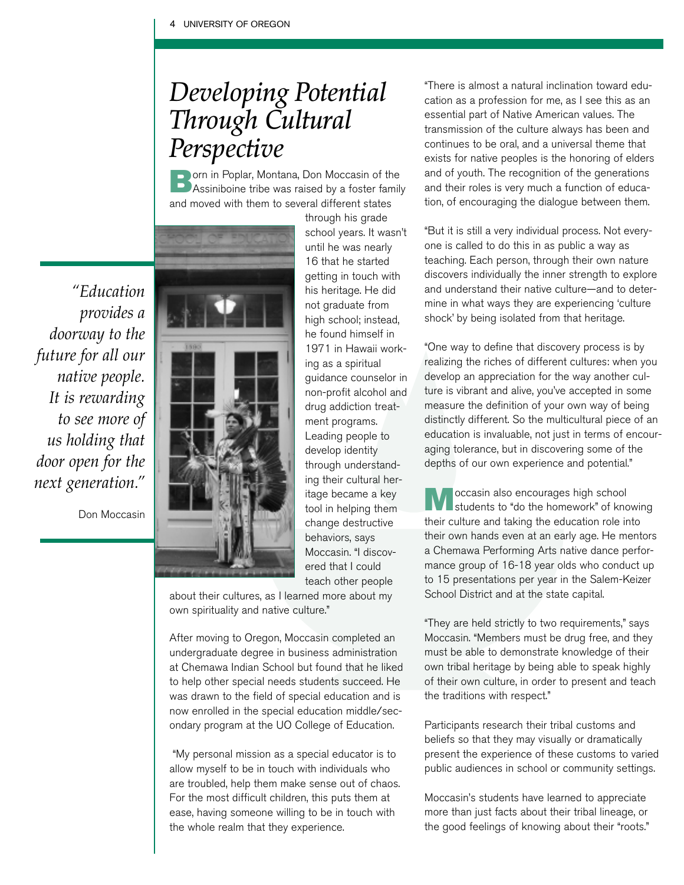### *Developing Potential Through Cultural Perspective*

orn in Poplar, Montana, Don Moccasin of the Assiniboine tribe was raised by a foster family and moved with them to several different states

*"Education provides a doorway to the future for all our native people. It is rewarding to see more of us holding that door open for the next generation."*

Don Moccasin

through his grade school years. It wasn't until he was nearly 16 that he started getting in touch with his heritage. He did not graduate from high school; instead, he found himself in 1971 in Hawaii working as a spiritual guidance counselor in non-profit alcohol and drug addiction treatment programs. Leading people to develop identity through understanding their cultural heritage became a key tool in helping them change destructive behaviors, says Moccasin. "I discovered that I could teach other people

about their cultures, as I learned more about my own spirituality and native culture."

After moving to Oregon, Moccasin completed an undergraduate degree in business administration at Chemawa Indian School but found that he liked to help other special needs students succeed. He was drawn to the field of special education and is now enrolled in the special education middle/secondary program at the UO College of Education.

"My personal mission as a special educator is to allow myself to be in touch with individuals who are troubled, help them make sense out of chaos. For the most difficult children, this puts them at ease, having someone willing to be in touch with the whole realm that they experience.

"There is almost a natural inclination toward education as a profession for me, as I see this as an essential part of Native American values. The transmission of the culture always has been and continues to be oral, and a universal theme that exists for native peoples is the honoring of elders and of youth. The recognition of the generations and their roles is very much a function of education, of encouraging the dialogue between them.

"But it is still a very individual process. Not everyone is called to do this in as public a way as teaching. Each person, through their own nature discovers individually the inner strength to explore and understand their native culture—and to determine in what ways they are experiencing 'culture shock' by being isolated from that heritage.

"One way to define that discovery process is by realizing the riches of different cultures: when you develop an appreciation for the way another culture is vibrant and alive, you've accepted in some measure the definition of your own way of being distinctly different. So the multicultural piece of an education is invaluable, not just in terms of encouraging tolerance, but in discovering some of the depths of our own experience and potential."

occasin also encourages high school students to "do the homework" of knowing their culture and taking the education role into their own hands even at an early age. He mentors a Chemawa Performing Arts native dance performance group of 16-18 year olds who conduct up to 15 presentations per year in the Salem-Keizer School District and at the state capital.

"They are held strictly to two requirements," says Moccasin. "Members must be drug free, and they must be able to demonstrate knowledge of their own tribal heritage by being able to speak highly of their own culture, in order to present and teach the traditions with respect."

Participants research their tribal customs and beliefs so that they may visually or dramatically present the experience of these customs to varied public audiences in school or community settings.

Moccasin's students have learned to appreciate more than just facts about their tribal lineage, or the good feelings of knowing about their "roots."

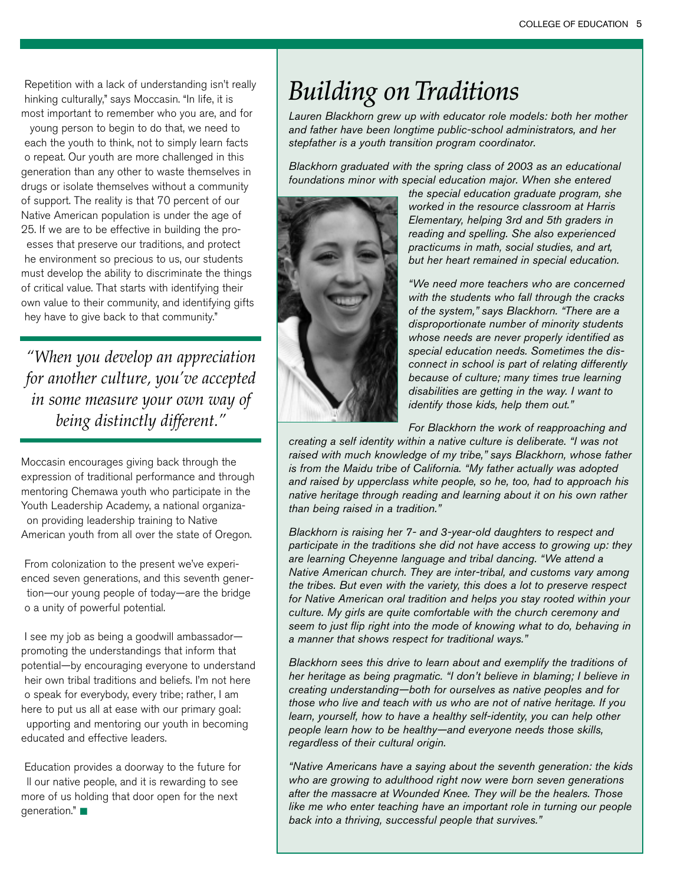Repetition with a lack of understanding isn't really hinking culturally," says Moccasin. "In life, it is most important to remember who you are, and for

 young person to begin to do that, we need to each the youth to think, not to simply learn facts o repeat. Our youth are more challenged in this generation than any other to waste themselves in drugs or isolate themselves without a community of support. The reality is that 70 percent of our Native American population is under the age of 25. If we are to be effective in building the proesses that preserve our traditions, and protect he environment so precious to us, our students must develop the ability to discriminate the things of critical value. That starts with identifying their own value to their community, and identifying gifts hey have to give back to that community."

*"When you develop an appreciation for another culture, you've accepted in some measure your own way of being distinctly different."* 

Moccasin encourages giving back through the expression of traditional performance and through mentoring Chemawa youth who participate in the Youth Leadership Academy, a national organizaon providing leadership training to Native American youth from all over the state of Oregon.

From colonization to the present we've experienced seven generations, and this seventh genertion—our young people of today—are the bridge o a unity of powerful potential.

I see my job as being a goodwill ambassador promoting the understandings that inform that potential—by encouraging everyone to understand heir own tribal traditions and beliefs. I'm not here o speak for everybody, every tribe; rather, I am here to put us all at ease with our primary goal: upporting and mentoring our youth in becoming educated and effective leaders.

Education provides a doorway to the future for ll our native people, and it is rewarding to see more of us holding that door open for the next generation." ■

### *Building on Traditions*

*Lauren Blackhorn grew up with educator role models: both her mother and father have been longtime public-school administrators, and her stepfather is a youth transition program coordinator.* 

*Blackhorn graduated with the spring class of 2003 as an educational foundations minor with special education major. When she entered* 



*the special education graduate program, she worked in the resource classroom at Harris Elementary, helping 3rd and 5th graders in reading and spelling. She also experienced practicums in math, social studies, and art, but her heart remained in special education.*

*"We need more teachers who are concerned with the students who fall through the cracks of the system," says Blackhorn. "There are a disproportionate number of minority students whose needs are never properly identified as special education needs. Sometimes the disconnect in school is part of relating differently because of culture; many times true learning disabilities are getting in the way. I want to identify those kids, help them out."*

*For Blackhorn the work of reapproaching and*

*creating a self identity within a native culture is deliberate. "I was not raised with much knowledge of my tribe," says Blackhorn, whose father is from the Maidu tribe of California. "My father actually was adopted and raised by upperclass white people, so he, too, had to approach his native heritage through reading and learning about it on his own rather than being raised in a tradition."*

*Blackhorn is raising her 7- and 3-year-old daughters to respect and participate in the traditions she did not have access to growing up: they are learning Cheyenne language and tribal dancing. "We attend a Native American church. They are inter-tribal, and customs vary among the tribes. But even with the variety, this does a lot to preserve respect for Native American oral tradition and helps you stay rooted within your culture. My girls are quite comfortable with the church ceremony and seem to just flip right into the mode of knowing what to do, behaving in a manner that shows respect for traditional ways."*

*Blackhorn sees this drive to learn about and exemplify the traditions of her heritage as being pragmatic. "I don't believe in blaming; I believe in creating understanding—both for ourselves as native peoples and for those who live and teach with us who are not of native heritage. If you learn, yourself, how to have a healthy self-identity, you can help other people learn how to be healthy—and everyone needs those skills, regardless of their cultural origin.*

*"Native Americans have a saying about the seventh generation: the kids who are growing to adulthood right now were born seven generations after the massacre at Wounded Knee. They will be the healers. Those like me who enter teaching have an important role in turning our people back into a thriving, successful people that survives."*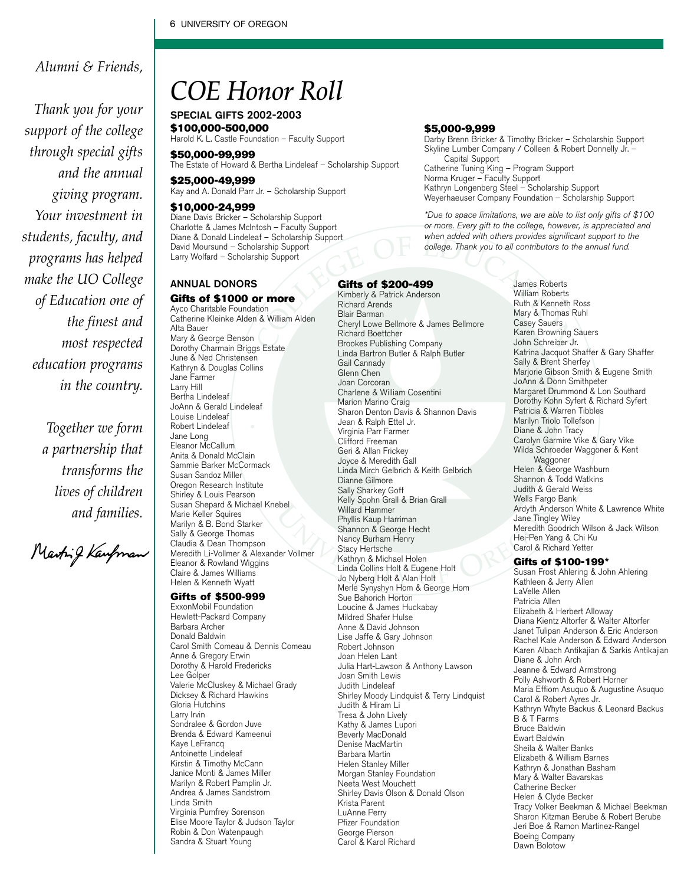#### *Alumni & Friends,*

*Thank you for your support of the college through special gifts and the annual giving program. Your investment in students, faculty, and programs has helped make the UO College of Education one of the finest and most respected education programs in the country.* 

> *Together we form a partnership that transforms the lives of children and families.*

Marting Kaupman

### *COE Honor Roll*

SPECIAL GIFTS 2002-2003 \$100,000-500,000 Harold K. L. Castle Foundation – Faculty Support

\$50,000-99,999 The Estate of Howard & Bertha Lindeleaf – Scholarship Support

\$25,000-49,999 Kay and A. Donald Parr Jr. – Scholarship Support

#### \$10,000-24,999

Diane Davis Bricker – Scholarship Support Charlotte & James McIntosh – Faculty Support Diane & Donald Lindeleaf – Scholarship Support David Moursund – Scholarship Support Larry Wolfard - Scholarship Support

#### ANNUAL DONORS

#### Gifts of \$1000 or more

Ayco Charitable Foundation Catherine Kleinke Alden & William Alden Alta Bauer Mary & George Benson Dorothy Charmain Briggs Estate June & Ned Christensen Kathryn & Douglas Collins Jane Farmer Larry Hill Bertha Lindeleaf JoAnn & Gerald Lindeleaf Louise Lindeleaf Robert Lindeleaf Jane Long Eleanor McCallum Anita & Donald McClain Sammie Barker McCormack Susan Sandoz Miller Oregon Research Institute Shirley & Louis Pearson Susan Shepard & Michael Knebel Marie Keller Squires Marilyn & B. Bond Starker Sally & George Thomas Claudia & Dean Thompson Meredith Li-Vollmer & Alexander Vollmer Eleanor & Rowland Wiggins Claire & James Williams Helen & Kenneth Wyatt

#### Gifts of \$500-999

ExxonMobil Foundation Hewlett-Packard Company Barbara Archer Donald Baldwin Carol Smith Comeau & Dennis Comeau Anne & Gregory Erwin Dorothy & Harold Fredericks Lee Golper Valerie McCluskey & Michael Grady Dicksey & Richard Hawkins Gloria Hutchins Larry Irvin Sondralee & Gordon Juve Brenda & Edward Kameenui Kaye LeFrancq Antoinette Lindeleaf Kirstin & Timothy McCann Janice Monti & James Miller Marilyn & Robert Pamplin Jr. Andrea & James Sandstrom Linda Smith Virginia Pumfrey Sorenson Elise Moore Taylor & Judson Taylor Robin & Don Watenpaugh Sandra & Stuart Young

#### \$5,000-9,999

Darby Brenn Bricker & Timothy Bricker – Scholarship Support Skyline Lumber Company / Colleen & Robert Donnelly Jr. -Capital Support Catherine Tuning King – Program Support Norma Kruger – Faculty Support Kathryn Longenberg Steel – Scholarship Support Weyerhaeuser Company Foundation – Scholarship Support

\*Due to space limitations, we are able to list only gifts of \$100 or more. Every gift to the college, however, is appreciated and when added with others provides significant support to the college. Thank you to all contributors to the annual fund.

#### Gifts of \$200-499 Kimberly & Patrick Anderson

Richard Arends Blair Barman Cheryl Lowe Bellmore & James Bellmore Richard Boettcher Brookes Publishing Company Linda Bartron Butler & Ralph Butler Gail Cannady Glenn Chen Joan Corcoran Charlene & William Cosentini Marion Marino Craig Sharon Denton Davis & Shannon Davis Jean & Ralph Ettel Jr. Virginia Parr Farmer Clifford Freeman Geri & Allan Frickey Joyce & Meredith Gall Linda Mirch Gelbrich & Keith Gelbrich Dianne Gilmore Sally Sharkey Goff Kelly Spohn Grall & Brian Grall Willard Hammer Phyllis Kaup Harriman Shannon & George Hecht Nancy Burham Henry Stacy Hertsche Kathryn & Michael Holen Linda Collins Holt & Eugene Holt Jo Nyberg Holt & Alan Holt Merle Synyshyn Hom & George Hom Sue Bahorich Horton Loucine & James Huckabay Mildred Shafer Hulse Anne & David Johnson Lise Jaffe & Gary Johnson Robert Johnson Joan Helen Lant Julia Hart-Lawson & Anthony Lawson Joan Smith Lewis Judith Lindeleaf Shirley Moody Lindquist & Terry Lindquist Judith & Hiram Li Tresa & John Lively Kathy & James Lupori Beverly MacDonald Denise MacMartin Barbara Martin Helen Stanley Miller Morgan Stanley Foundation Neeta West Mouchett Shirley Davis Olson & Donald Olson Krista Parent LuAnne Perry Pfizer Foundation George Pierson Carol & Karol Richard

James Roberts William Roberts Ruth & Kenneth Ross Mary & Thomas Ruhl Casey Sauers Karen Browning Sauers John Schreiber Jr. Katrina Jacquot Shaffer & Gary Shaffer Sally & Brent Sherfey Marjorie Gibson Smith & Eugene Smith JoAnn & Donn Smithpeter Margaret Drummond & Lon Southard Dorothy Kohn Syfert & Richard Syfert Patricia & Warren Tibbles Marilyn Triolo Tollefson Diane & John Tracy Carolyn Garmire Vike & Gary Vike Wilda Schroeder Waggoner & Kent Waggoner Helen & George Washburn Shannon & Todd Watkins Judith & Gerald Weiss Wells Fargo Bank Ardyth Anderson White & Lawrence White Jane Tingley Wiley Meredith Goodrich Wilson & Jack Wilson Hei-Pen Yang & Chi Ku Carol & Richard Yetter

#### Gifts of \$100-199\*

Susan Frost Ahlering & John Ahlering Kathleen & Jerry Allen LaVelle Allen Patricia Allen Elizabeth & Herbert Alloway Diana Kientz Altorfer & Walter Altorfer Janet Tulipan Anderson & Eric Anderson Rachel Kale Anderson & Edward Anderson Karen Albach Antikajian & Sarkis Antikajian Diane & John Arch Jeanne & Edward Armstrong Polly Ashworth & Robert Horner Maria Effiom Asuquo & Augustine Asuquo Carol & Robert Ayres Jr. Kathryn Whyte Backus & Leonard Backus B & T Farms Bruce Baldwin Ewart Baldwin Sheila & Walter Banks Elizabeth & William Barnes Kathryn & Jonathan Basham Mary & Walter Bavarskas Catherine Becker Helen & Clyde Becker Tracy Volker Beekman & Michael Beekman Sharon Kitzman Berube & Robert Berube Jeri Boe & Ramon Martinez-Rangel Boeing Company Dawn Bolotow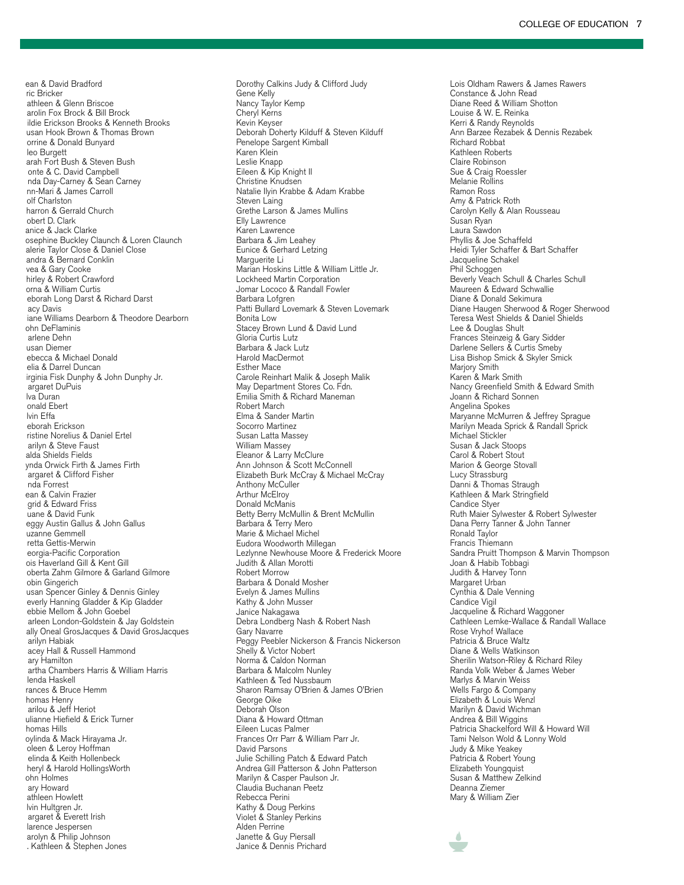ean & David Bradford ric Bricker athleen & Glenn Briscoe arolin Fox Brock & Bill Brock ildie Erickson Brooks & Kenneth Brooks usan Hook Brown & Thomas Brown orrine & Donald Bunyard leo Burgett arah Fort Bush & Steven Bush onte & C. David Campbell nda Day-Carney & Sean Carney nn-Mari & James Carroll olf Charlston harron & Gerrald Church obert D. Clark anice & Jack Clarke osephine Buckley Claunch & Loren Claunch alerie Taylor Close & Daniel Close andra & Bernard Conklin vea & Gary Cooke hirley & Robert Crawford orna & William Curtis eborah Long Darst & Richard Darst acy Davis iane Williams Dearborn & Theodore Dearborn ohn DeFlaminis arlene Dehn usan Diemer ebecca & Michael Donald elia & Darrel Duncan irginia Fisk Dunphy & John Dunphy Jr. argaret DuPuis lva Duran onald Ebert lvin Effa eborah Erickson ristine Norelius & Daniel Ertel arilyn & Steve Faust alda Shields Fields ynda Orwick Firth & James Firth argaret & Clifford Fisher nda Forrest ean & Calvin Frazier grid & Edward Friss uane & David Funk eggy Austin Gallus & John Gallus uzanne Gemmell retta Gettis-Merwin eorgia-Pacific Corporation ois Haverland Gill & Kent Gill oberta Zahm Gilmore & Garland Gilmore obin Gingerich usan Spencer Ginley & Dennis Ginley everly Hanning Gladder & Kip Gladder ebbie Mellom & John Goebel arleen London-Goldstein & Jay Goldstein ally Oneal GrosJacques & David GrosJacques arilyn Habiak acey Hall & Russell Hammond ary Hamilton artha Chambers Harris & William Harris lenda Haskell rances & Bruce Hemm homas Henry arilou & Jeff Heriot ulianne Hiefield & Erick Turner homas Hills oylinda & Mack Hirayama Jr. oleen & Leroy Hoffman elinda & Keith Hollenbeck heryl & Harold HollingsWorth ohn Holmes ary Howard athleen Howlett lvin Hultgren Jr. argaret & Everett Irish larence Jespersen arolyn & Philip Johnson . Kathleen & Stephen Jones

Dorothy Calkins Judy & Clifford Judy Gene Kelly Nancy Taylor Kemp Cheryl Kerns Kevin Keyser Deborah Doherty Kilduff & Steven Kilduff Penelope Sargent Kimball Karen Klein Leslie Knapp Eileen & Kip Knight II Christine Knudsen Natalie Ilyin Krabbe & Adam Krabbe Steven Laing Grethe Larson & James Mullins Elly Lawrence Karen Lawrence Barbara & Jim Leahey Eunice & Gerhard Letzing Marguerite Li Marian Hoskins Little & William Little Jr. Lockheed Martin Corporation Jomar Lococo & Randall Fowler Barbara Lofgren Patti Bullard Lovemark & Steven Lovemark Bonita Low Stacey Brown Lund & David Lund Gloria Curtis Lutz Barbara & Jack Lutz Harold MacDermot Esther Mace Carole Reinhart Malik & Joseph Malik May Department Stores Co. Fdn. Emilia Smith & Richard Maneman Robert March Elma & Sander Martin Socorro Martinez Susan Latta Massey William Massey Eleanor & Larry McClure Ann Johnson & Scott McConnell Elizabeth Burk McCray & Michael McCray Anthony McCuller Arthur McElroy Donald McManis Betty Berry McMullin & Brent McMullin Barbara & Terry Mero Marie & Michael Michel Eudora Woodworth Millegan Lezlynne Newhouse Moore & Frederick Moore Judith & Allan Morotti Robert Morrow Barbara & Donald Mosher Evelyn & James Mullins Kathy & John Musser Janice Nakagawa Debra Londberg Nash & Robert Nash Gary Navarre Peggy Peebler Nickerson & Francis Nickerson Shelly & Victor Nobert Norma & Caldon Norman Barbara & Malcolm Nunley Kathleen & Ted Nussbaum Sharon Ramsay O'Brien & James O'Brien George Oike Deborah Olson Diana & Howard Ottman Eileen Lucas Palmer Frances Orr Parr & William Parr Jr. David Parsons Julie Schilling Patch & Edward Patch Andrea Gill Patterson & John Patterson Marilyn & Casper Paulson Jr. Claudia Buchanan Peetz Rebecca Perini Kathy & Doug Perkins Violet & Stanley Perkins Alden Perrine Janette & Guy Piersall Janice & Dennis Prichard

Lois Oldham Rawers & James Rawers Constance & John Read Diane Reed & William Shotton Louise & W. E. Reinka Kerri & Randy Reynolds Ann Barzee Rezabek & Dennis Rezabek Richard Robbat Kathleen Roberts Claire Robinson Sue & Craig Roessler Melanie Rollins Ramon Ross Amy & Patrick Roth Carolyn Kelly & Alan Rousseau Susan Ryan Laura Sawdon Phyllis & Joe Schaffeld Heidi Tyler Schaffer & Bart Schaffer Jacqueline Schakel Phil Schoggen Beverly Veach Schull & Charles Schull Maureen & Edward Schwallie Diane & Donald Sekimura Diane Haugen Sherwood & Roger Sherwood Teresa West Shields & Daniel Shields Lee & Douglas Shult Frances Steinzeig & Gary Sidder Darlene Sellers & Curtis Smeby Lisa Bishop Smick & Skyler Smick Marjory Smith Karen & Mark Smith Nancy Greenfield Smith & Edward Smith Joann & Richard Sonnen Angelina Spokes Maryanne McMurren & Jeffrey Sprague Marilyn Meada Sprick & Randall Sprick Michael Stickler Susan & Jack Stoops Carol & Robert Stout Marion & George Stovall Lucy Strassburg Danni & Thomas Straugh Kathleen & Mark Stringfield Candice Styer Ruth Maier Sylwester & Robert Sylwester Dana Perry Tanner & John Tanner Ronald Taylor Francis Thiemann Sandra Pruitt Thompson & Marvin Thompson Joan & Habib Tobbagi Judith & Harvey Tonn Margaret Urban Cynthia & Dale Venning Candice Vigil Jacqueline & Richard Waggoner Cathleen Lemke-Wallace & Randall Wallace Rose Vryhof Wallace Patricia & Bruce Waltz Diane & Wells Watkinson Sherilin Watson-Riley & Richard Riley Randa Volk Weber & James Weber Marlys & Marvin Weiss Wells Fargo & Company Elizabeth & Louis Wenzl Marilyn & David Wichman Andrea & Bill Wiggins Patricia Shackelford Will & Howard Will Tami Nelson Wold & Lonny Wold Judy & Mike Yeakey Patricia & Robert Young Elizabeth Youngquist Susan & Matthew Zelkind Deanna Ziemer Mary & William Zier

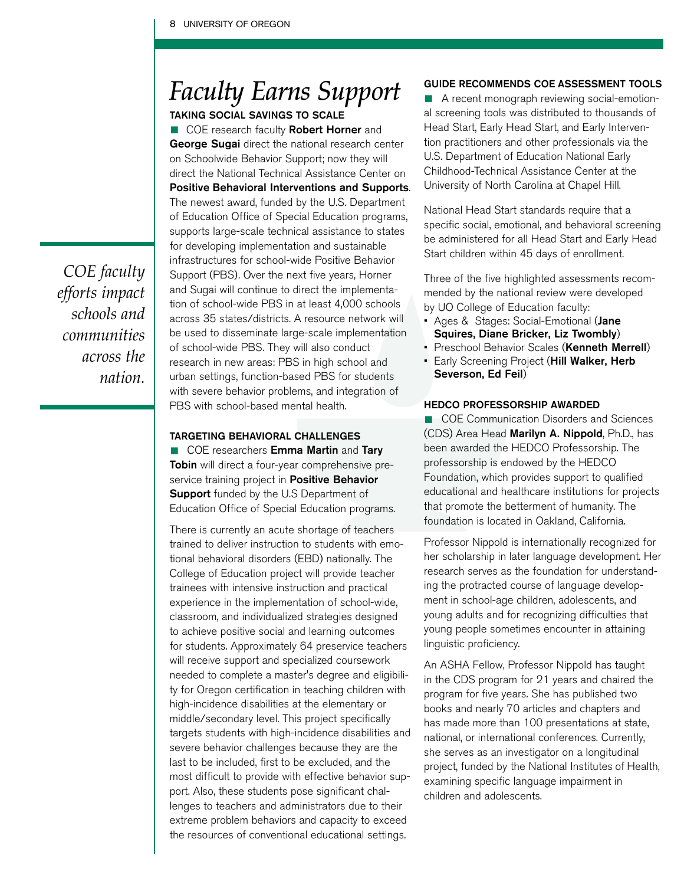### *Faculty Earns Support*

TAKING SOCIAL SAVINGS TO SCALE

**COE** research faculty **Robert Horner** and George Sugai direct the national research center on Schoolwide Behavior Support; now they will direct the National Technical Assistance Center on Positive Behavioral Interventions and Supports. The newest award, funded by the U.S. Department of Education Office of Special Education programs, supports large-scale technical assistance to states for developing implementation and sustainable infrastructures for school-wide Positive Behavior Support (PBS). Over the next five years, Horner and Sugai will continue to direct the implementation of school-wide PBS in at least 4,000 schools across 35 states/districts. A resource network will be used to disseminate large-scale implementation of school-wide PBS. They will also conduct research in new areas: PBS in high school and urban settings, function-based PBS for students with severe behavior problems, and integration of PBS with school-based mental health.

#### TARGETING BEHAVIORAL CHALLENGES

■ COE researchers **Emma Martin** and **Tary**<br> **Tobin** will direct a four-year comprehensive preservice training project in Positive Behavior **Support** funded by the U.S Department of Education Office of Special Education programs.

There is currently an acute shortage of teachers trained to deliver instruction to students with emotional behavioral disorders (EBD) nationally. The College of Education project will provide teacher trainees with intensive instruction and practical experience in the implementation of school-wide, classroom, and individualized strategies designed to achieve positive social and learning outcomes for students. Approximately 64 preservice teachers will receive support and specialized coursework needed to complete a master's degree and eligibility for Oregon certification in teaching children with high-incidence disabilities at the elementary or middle/secondary level. This project specifically targets students with high-incidence disabilities and severe behavior challenges because they are the last to be included, first to be excluded, and the most difficult to provide with effective behavior support. Also, these students pose significant challenges to teachers and administrators due to their extreme problem behaviors and capacity to exceed the resources of conventional educational settings.

#### GUIDE RECOMMENDS COE ASSESSMENT TOOLS

■ A recent monograph reviewing social-emotional screening tools was distributed to thousands of Head Start, Early Head Start, and Early Intervention practitioners and other professionals via the U.S. Department of Education National Early Childhood-Technical Assistance Center at the University of North Carolina at Chapel Hill.

National Head Start standards require that a specific social, emotional, and behavioral screening be administered for all Head Start and Early Head Start children within 45 days of enrollment.

Three of the five highlighted assessments recommended by the national review were developed by UO College of Education faculty:

- Ages & Stages: Social-Emotional (Jane Squires, Diane Bricker, Liz Twombly)
- Preschool Behavior Scales (Kenneth Merrell)
- Early Screening Project (Hill Walker, Herb Severson, Ed Feil)

#### HEDCO PROFESSORSHIP AWARDED

**• COE Communication Disorders and Sciences** (CDS) Area Head Marilyn A. Nippold, Ph.D., has been awarded the HEDCO Professorship. The professorship is endowed by the HEDCO Foundation, which provides support to qualified educational and healthcare institutions for projects that promote the betterment of humanity. The foundation is located in Oakland, California.

Professor Nippold is internationally recognized for her scholarship in later language development. Her research serves as the foundation for understanding the protracted course of language development in school-age children, adolescents, and young adults and for recognizing difficulties that young people sometimes encounter in attaining linguistic proficiency.

An ASHA Fellow, Professor Nippold has taught in the CDS program for 21 years and chaired the program for five years. She has published two books and nearly 70 articles and chapters and has made more than 100 presentations at state, national, or international conferences. Currently, she serves as an investigator on a longitudinal project, funded by the National Institutes of Health, examining specific language impairment in children and adolescents.

*COE faculty efforts impact schools and communities across the nation.*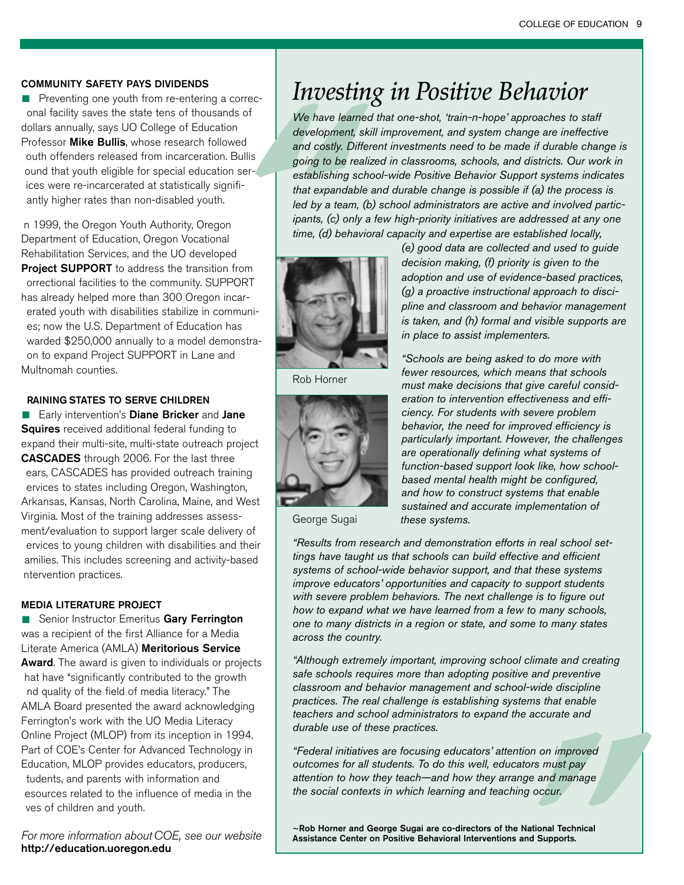#### COMMUNITY SAFETY PAYS DIVIDENDS

**• Preventing one youth from re-entering a correc**onal facility saves the state tens of thousands of dollars annually, says UO College of Education Professor **Mike Bullis**, whose research followed outh offenders released from incarceration. Bullis ound that youth eligible for special education serices were re-incarcerated at statistically signifiantly higher rates than non-disabled youth.

n 1999, the Oregon Youth Authority, Oregon Department of Education, Oregon Vocational Rehabilitation Services, and the UO developed Project SUPPORT to address the transition from orrectional facilities to the community. SUPPORT has already helped more than 300 Oregon incarerated youth with disabilities stabilize in communies; now the U.S. Department of Education has warded \$250,000 annually to a model demonstraon to expand Project SUPPORT in Lane and Multnomah counties.

#### RAINING STATES TO SERVE CHILDREN

**Early intervention's Diane Bricker and Jane** Squires received additional federal funding to expand their multi-site, multi-state outreach project CASCADES through 2006. For the last three ears, CASCADES has provided outreach training ervices to states including Oregon, Washington, Arkansas, Kansas, North Carolina, Maine, and West Virginia. Most of the training addresses assessment/evaluation to support larger scale delivery of ervices to young children with disabilities and their amilies. This includes screening and activity-based ntervention practices.

#### MEDIA LITERATURE PROJECT

**EXAMPLE FRANCISTS**<br>
Senior Instructor Emeritus Gary Ferrington<br>
was a recipient of the first Alliance for a Media Literate America (AMLA) Meritorious Service Award. The award is given to individuals or projects hat have "significantly contributed to the growth nd quality of the field of media literacy." The AMLA Board presented the award acknowledging Ferrington's work with the UO Media Literacy Online Project (MLOP) from its inception in 1994. Part of COE's Center for Advanced Technology in Education, MLOP provides educators, producers, tudents, and parents with information and esources related to the influence of media in the ves of children and youth.

For more information about COE, see our website http://education.uoregon.edu

### *Investing in Positive Behavior*

<sup>of</sup><br>
We have learn<br>
development, s<br>
and costly. Diff<br>
going to be reachabilishing sc<br>
that expandable led by a team,<br>
ipants, (c) only<br>
time, (d) behav<br>
TI<br>
Ti-*We have learned that one-shot, 'train-n-hope' approaches to staff development, skill improvement, and system change are ineffective and costly. Different investments need to be made if durable change is going to be realized in classrooms, schools, and districts. Our work in establishing school-wide Positive Behavior Support systems indicates that expandable and durable change is possible if (a) the process is led by a team, (b) school administrators are active and involved participants, (c) only a few high-priority initiatives are addressed at any one time, (d) behavioral capacity and expertise are established locally,* 



Rob Horner



George Sugai

*(e) good data are collected and used to guide decision making, (f) priority is given to the adoption and use of evidence-based practices, (g) a proactive instructional approach to discipline and classroom and behavior management is taken, and (h) formal and visible supports are in place to assist implementers.*

*"Schools are being asked to do more with fewer resources, which means that schools must make decisions that give careful consideration to intervention effectiveness and efficiency. For students with severe problem behavior, the need for improved efficiency is particularly important. However, the challenges are operationally defining what systems of function-based support look like, how schoolbased mental health might be configured, and how to construct systems that enable sustained and accurate implementation of these systems.* 

*"Results from research and demonstration efforts in real school settings have taught us that schools can build effective and efficient systems of school-wide behavior support, and that these systems improve educators' opportunities and capacity to support students with severe problem behaviors. The next challenge is to figure out how to expand what we have learned from a few to many schools, one to many districts in a region or state, and some to many states across the country.*

*"Although extremely important, improving school climate and creating safe schools requires more than adopting positive and preventive classroom and behavior management and school-wide discipline practices. The real challenge is establishing systems that enable teachers and school administrators to expand the accurate and durable use of these practices.* 

*n* on improved<br>
rs must pay<br>
e and manage<br>
occur.<br>
ational Technical<br> **d Supports.** *"Federal initiatives are focusing educators' attention on improved outcomes for all students. To do this well, educators must pay attention to how they teach—and how they arrange and manage the social contexts in which learning and teaching occur.* 

~Rob Horner and George Sugai are co-directors of the National Technical Assistance Center on Positive Behavioral Interventions and Supports.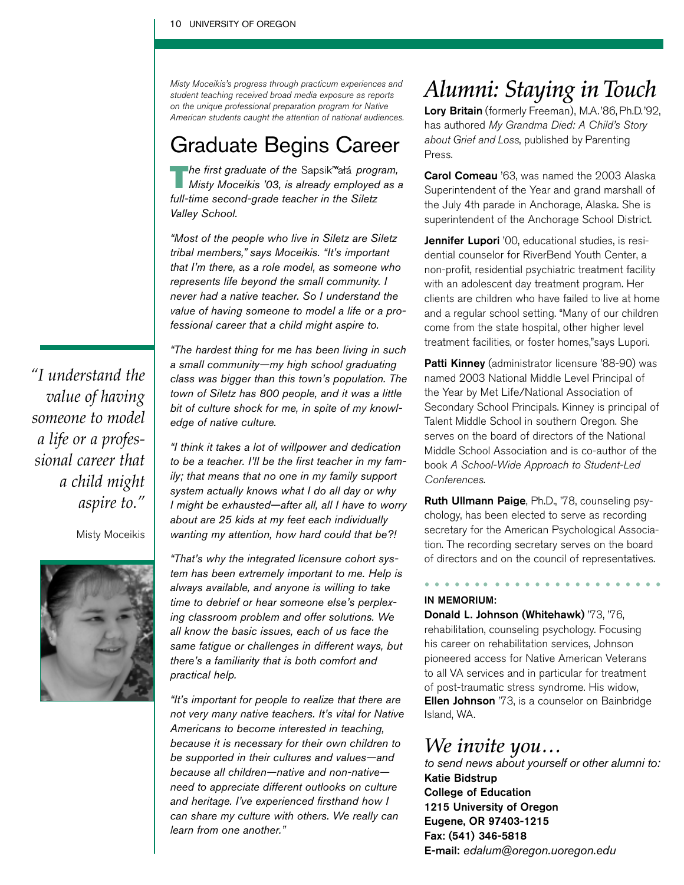Misty Moceikis's progress through practicum experiences and student teaching received broad media exposure as reports on the unique professional preparation program for Native American students caught the attention of national audiences.

### Graduate Begins Career

The first graduate of the Sapsik<sup>w</sup>alá program, *Misty Moceikis '03, is already employed as a full-time second-grade teacher in the Siletz Valley School.* 

*"Most of the people who live in Siletz are Siletz tribal members," says Moceikis. "It's important that I'm there, as a role model, as someone who represents life beyond the small community. I never had a native teacher. So I understand the value of having someone to model a life or a professional career that a child might aspire to.*

*"The hardest thing for me has been living in such a small community—my high school graduating class was bigger than this town's population. The town of Siletz has 800 people, and it was a little bit of culture shock for me, in spite of my knowledge of native culture.* 

*"I think it takes a lot of willpower and dedication to be a teacher. I'll be the first teacher in my family; that means that no one in my family support system actually knows what I do all day or why I might be exhausted—after all, all I have to worry about are 25 kids at my feet each individually wanting my attention, how hard could that be?!*

*"That's why the integrated licensure cohort system has been extremely important to me. Help is always available, and anyone is willing to take time to debrief or hear someone else's perplexing classroom problem and offer solutions. We all know the basic issues, each of us face the same fatigue or challenges in different ways, but there's a familiarity that is both comfort and practical help.*

*"It's important for people to realize that there are not very many native teachers. It's vital for Native Americans to become interested in teaching, because it is necessary for their own children to be supported in their cultures and values—and because all children—native and non-native need to appreciate different outlooks on culture and heritage. I've experienced firsthand how I can share my culture with others. We really can learn from one another."*

### *Alumni: Staying in Touch*

Lory Britain (formerly Freeman), M.A.'86, Ph.D.'92, has authored My Grandma Died: A Child's Story about Grief and Loss, published by Parenting Press.

Carol Comeau '63, was named the 2003 Alaska Superintendent of the Year and grand marshall of the July 4th parade in Anchorage, Alaska. She is superintendent of the Anchorage School District.

Jennifer Lupori '00, educational studies, is residential counselor for RiverBend Youth Center, a non-profit, residential psychiatric treatment facility with an adolescent day treatment program. Her clients are children who have failed to live at home and a regular school setting. "Many of our children come from the state hospital, other higher level treatment facilities, or foster homes,"says Lupori.

Patti Kinney (administrator licensure '88-90) was named 2003 National Middle Level Principal of the Year by Met Life/National Association of Secondary School Principals. Kinney is principal of Talent Middle School in southern Oregon. She serves on the board of directors of the National Middle School Association and is co-author of the book A School-Wide Approach to Student-Led Conferences.

Ruth Ullmann Paige, Ph.D., '78, counseling psychology, has been elected to serve as recording secretary for the American Psychological Association. The recording secretary serves on the board of directors and on the council of representatives.

*• • • • • • • • • • • • • • • • • • • • • • • •*

#### IN MEMORIUM:

Donald L. Johnson (Whitehawk) '73, '76, rehabilitation, counseling psychology. Focusing his career on rehabilitation services, Johnson pioneered access for Native American Veterans to all VA services and in particular for treatment of post-traumatic stress syndrome. His widow, Ellen Johnson '73, is a counselor on Bainbridge Island, WA.

### *We invite you…*

*to send news about yourself or other alumni to:*  Katie Bidstrup College of Education 1215 University of Oregon Eugene, OR 97403-1215 Fax: (541) 346-5818 E-mail: *edalum@oregon.uoregon.edu*

*"I understand the value of having someone to model a life or a professional career that a child might aspire to."*

Misty Moceikis

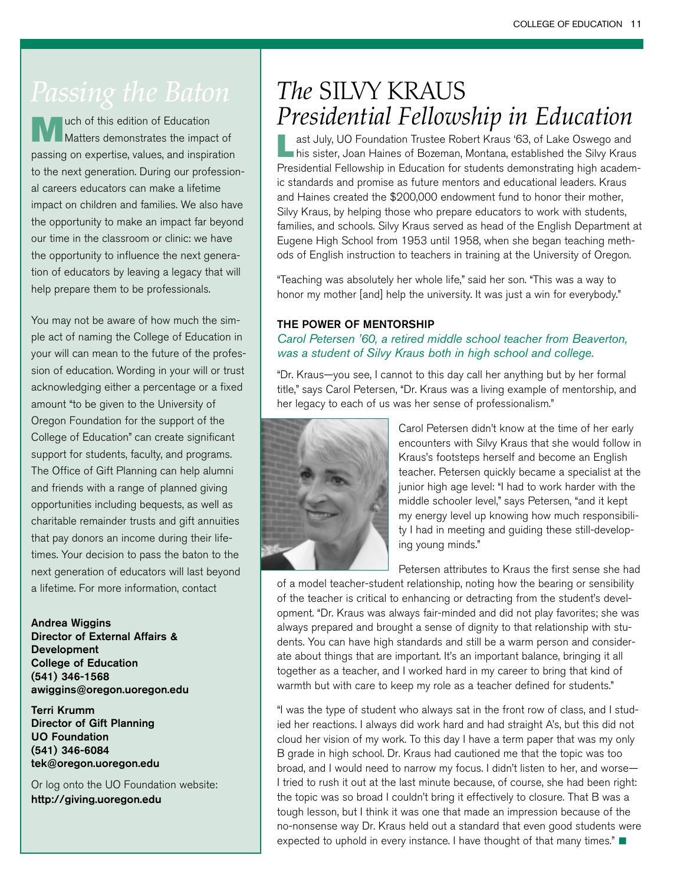uch of this edition of Education Matters demonstrates the impact of passing on expertise, values, and inspiration to the next generation. During our professional careers educators can make a lifetime impact on children and families. We also have the opportunity to make an impact far beyond our time in the classroom or clinic: we have the opportunity to influence the next generation of educators by leaving a legacy that will help prepare them to be professionals.

You may not be aware of how much the simple act of naming the College of Education in your will can mean to the future of the profession of education. Wording in your will or trust acknowledging either a percentage or a fixed amount "to be given to the University of Oregon Foundation for the support of the College of Education" can create significant support for students, faculty, and programs. The Office of Gift Planning can help alumni and friends with a range of planned giving opportunities including bequests, as well as charitable remainder trusts and gift annuities that pay donors an income during their lifetimes. Your decision to pass the baton to the next generation of educators will last beyond a lifetime. For more information, contact

Andrea Wiggins Director of External Affairs & Development College of Education (541) 346-1568 awiggins@oregon.uoregon.edu

Terri Krumm Director of Gift Planning UO Foundation (541) 346-6084 tek@oregon.uoregon.edu

Or log onto the UO Foundation website: http://giving.uoregon.edu

### *The* SILVY KRAUS *Presidential Fellowship in Education*

**Last July, UO Foundation Trustee Robert Kraus '63, of Lake Oswego and<br>his sister, Joan Haines of Bozeman, Montana, established the Silvy Kraus** Presidential Fellowship in Education for students demonstrating high academic standards and promise as future mentors and educational leaders. Kraus and Haines created the \$200,000 endowment fund to honor their mother, Silvy Kraus, by helping those who prepare educators to work with students, families, and schools. Silvy Kraus served as head of the English Department at Eugene High School from 1953 until 1958, when she began teaching methods of English instruction to teachers in training at the University of Oregon.

"Teaching was absolutely her whole life," said her son. "This was a way to honor my mother [and] help the university. It was just a win for everybody."

#### THE POWER OF MENTORSHIP

#### *Carol Petersen '60, a retired middle school teacher from Beaverton, was a student of Silvy Kraus both in high school and college.*

"Dr. Kraus—you see, I cannot to this day call her anything but by her formal title," says Carol Petersen, "Dr. Kraus was a living example of mentorship, and her legacy to each of us was her sense of professionalism."



Carol Petersen didn't know at the time of her early encounters with Silvy Kraus that she would follow in Kraus's footsteps herself and become an English teacher. Petersen quickly became a specialist at the junior high age level: "I had to work harder with the middle schooler level," says Petersen, "and it kept my energy level up knowing how much responsibility I had in meeting and guiding these still-developing young minds."

Petersen attributes to Kraus the first sense she had of a model teacher-student relationship, noting how the bearing or sensibility of the teacher is critical to enhancing or detracting from the student's development. "Dr. Kraus was always fair-minded and did not play favorites; she was always prepared and brought a sense of dignity to that relationship with students. You can have high standards and still be a warm person and considerate about things that are important. It's an important balance, bringing it all together as a teacher, and I worked hard in my career to bring that kind of warmth but with care to keep my role as a teacher defined for students."

"I was the type of student who always sat in the front row of class, and I studied her reactions. I always did work hard and had straight A's, but this did not cloud her vision of my work. To this day I have a term paper that was my only B grade in high school. Dr. Kraus had cautioned me that the topic was too broad, and I would need to narrow my focus. I didn't listen to her, and worse— I tried to rush it out at the last minute because, of course, she had been right: the topic was so broad I couldn't bring it effectively to closure. That B was a tough lesson, but I think it was one that made an impression because of the no-nonsense way Dr. Kraus held out a standard that even good students were expected to uphold in every instance. I have thought of that many times."